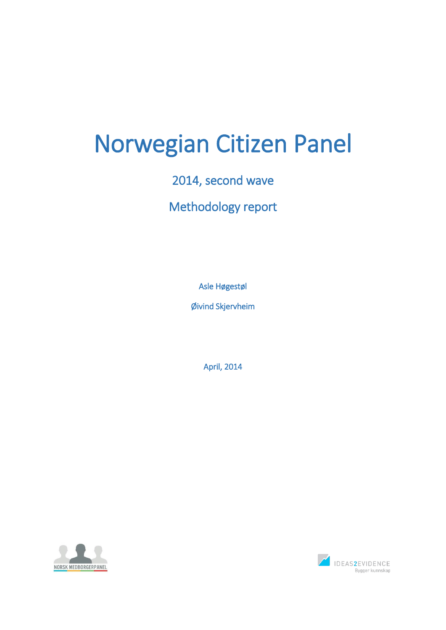# Norwegian Citizen Panel

2014, second wave

Methodology report

Asle Høgestøl

Øivind Skjervheim

April, 2014



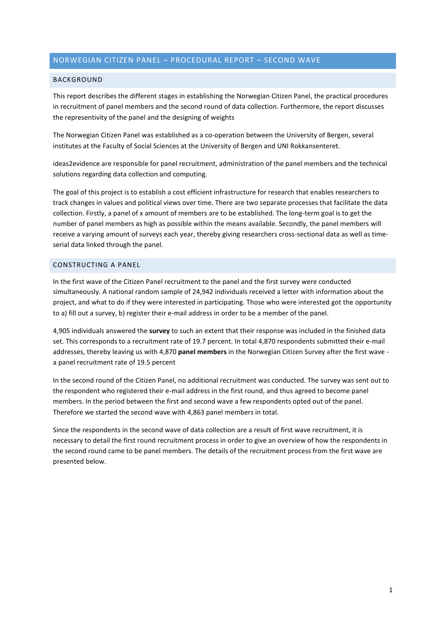# NORWEGIAN CITIZEN PANEL – PROCEDURAL REPORT – SECOND WAVE

# **BACKGROUND**

This report describes the different stages in establishing the Norwegian Citizen Panel, the practical procedures in recruitment of panel members and the second round of data collection. Furthermore, the report discusses the representivity of the panel and the designing of weights

The Norwegian Citizen Panel was established as a co-operation between the University of Bergen, several institutes at the Faculty of Social Sciences at the University of Bergen and UNI Rokkansenteret.

ideas2evidence are responsible for panel recruitment, administration of the panel members and the technical solutions regarding data collection and computing.

The goal of this project is to establish a cost efficient infrastructure for research that enables researchers to track changes in values and political views over time. There are two separate processes that facilitate the data collection. Firstly, a panel of x amount of members are to be established. The long-term goal is to get the number of panel members as high as possible within the means available. Secondly, the panel members will receive a varying amount of surveys each year, thereby giving researchers cross-sectional data as well as timeserial data linked through the panel.

# CONSTRUCTING A PANEL

In the first wave of the Citizen Panel recruitment to the panel and the first survey were conducted simultaneously. A national random sample of 24,942 individuals received a letter with information about the project, and what to do if they were interested in participating. Those who were interested got the opportunity to a) fill out a survey, b) register their e-mail address in order to be a member of the panel.

4,905 individuals answered the **survey** to such an extent that their response was included in the finished data set. This corresponds to a recruitment rate of 19.7 percent. In total 4,870 respondents submitted their e-mail addresses, thereby leaving us with 4,870 **panel members** in the Norwegian Citizen Survey after the first wave a panel recruitment rate of 19.5 percent

In the second round of the Citizen Panel, no additional recruitment was conducted. The survey was sent out to the respondent who registered their e-mail address in the first round, and thus agreed to become panel members. In the period between the first and second wave a few respondents opted out of the panel. Therefore we started the second wave with 4,863 panel members in total.

Since the respondents in the second wave of data collection are a result of first wave recruitment, it is necessary to detail the first round recruitment process in order to give an overview of how the respondents in the second round came to be panel members. The details of the recruitment process from the first wave are presented below.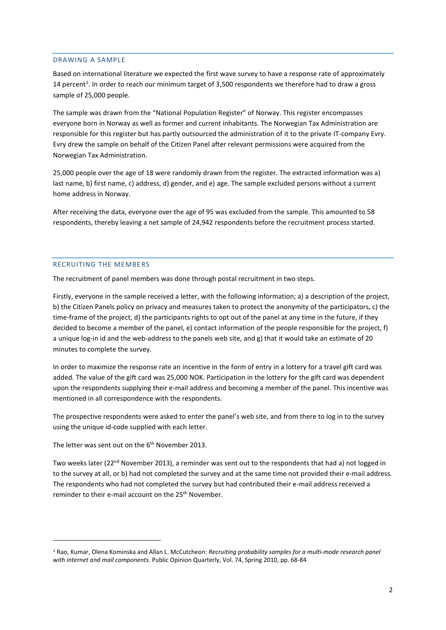#### DRAWING A SAMPLE

Based on international literature we expected the first wave survey to have a response rate of approximately 14 percent<sup>1</sup>. In order to reach our minimum target of 3,500 respondents we therefore had to draw a gross sample of 25,000 people.

The sample was drawn from the "National Population Register" of Norway. This register encompasses everyone born in Norway as well as former and current inhabitants. The Norwegian Tax Administration are responsible for this register but has partly outsourced the administration of it to the private IT-company Evry. Evry drew the sample on behalf of the Citizen Panel after relevant permissions were acquired from the Norwegian Tax Administration.

25,000 people over the age of 18 were randomly drawn from the register. The extracted information was a) last name, b) first name, c) address, d) gender, and e) age. The sample excluded persons without a current home address in Norway.

After receiving the data, everyone over the age of 95 was excluded from the sample. This amounted to 58 respondents, thereby leaving a net sample of 24,942 respondents before the recruitment process started.

# RECRUITING THE MEMBERS

The recruitment of panel members was done through postal recruitment in two steps.

Firstly, everyone in the sample received a letter, with the following information; a) a description of the project, b) the Citizen Panels policy on privacy and measures taken to protect the anonymity of the participators, c) the time-frame of the project, d) the participants rights to opt out of the panel at any time in the future, if they decided to become a member of the panel, e) contact information of the people responsible for the project, f) a unique log-in id and the web-address to the panels web site, and g) that it would take an estimate of 20 minutes to complete the survey.

In order to maximize the response rate an incentive in the form of entry in a lottery for a travel gift card was added. The value of the gift card was 25,000 NOK. Participation in the lottery for the gift card was dependent upon the respondents supplying their e-mail address and becoming a member of the panel. This incentive was mentioned in all correspondence with the respondents.

The prospective respondents were asked to enter the panel's web site, and from there to log in to the survey using the unique id-code supplied with each letter.

The letter was sent out on the  $6<sup>th</sup>$  November 2013.

1

Two weeks later (22<sup>nd</sup> November 2013), a reminder was sent out to the respondents that had a) not logged in to the survey at all, or b) had not completed the survey and at the same time not provided their e-mail address. The respondents who had not completed the survey but had contributed their e-mail address received a reminder to their e-mail account on the 25<sup>th</sup> November.

<sup>1</sup> Rao, Kumar, Olena Kominska and Allan L. McCutcheon: *Recruiting probability samples for a multi-mode research panel with internet and mail components.* Public Opinion Quarterly, Vol. 74, Spring 2010, pp. 68-84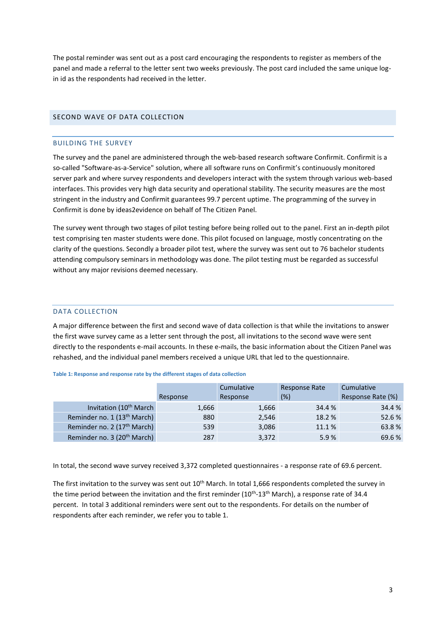The postal reminder was sent out as a post card encouraging the respondents to register as members of the panel and made a referral to the letter sent two weeks previously. The post card included the same unique login id as the respondents had received in the letter.

# SECOND WAVE OF DATA COLLECTION

# BUILDING THE SURVEY

The survey and the panel are administered through the web-based research software Confirmit. Confirmit is a so-called "Software-as-a-Service" solution, where all software runs on Confirmit's continuously monitored server park and where survey respondents and developers interact with the system through various web-based interfaces. This provides very high data security and operational stability. The security measures are the most stringent in the industry and Confirmit guarantees 99.7 percent uptime. The programming of the survey in Confirmit is done by ideas2evidence on behalf of The Citizen Panel.

The survey went through two stages of pilot testing before being rolled out to the panel. First an in-depth pilot test comprising ten master students were done. This pilot focused on language, mostly concentrating on the clarity of the questions. Secondly a broader pilot test, where the survey was sent out to 76 bachelor students attending compulsory seminars in methodology was done. The pilot testing must be regarded as successful without any major revisions deemed necessary.

## DATA COLLECTION

A major difference between the first and second wave of data collection is that while the invitations to answer the first wave survey came as a letter sent through the post, all invitations to the second wave were sent directly to the respondents e-mail accounts. In these e-mails, the basic information about the Citizen Panel was rehashed, and the individual panel members received a unique URL that led to the questionnaire.

#### **Table 1: Response and response rate by the different stages of data collection**

|                                         |          | Cumulative | Response Rate | Cumulative        |  |
|-----------------------------------------|----------|------------|---------------|-------------------|--|
|                                         | Response | Response   | (%)           | Response Rate (%) |  |
| Invitation (10 <sup>th</sup> March      | 1,666    | 1,666      | 34.4 %        | 34.4 %            |  |
| Reminder no. 1 (13 <sup>th</sup> March) | 880      | 2,546      | 18.2 %        | 52.6%             |  |
| Reminder no. 2 (17 <sup>th</sup> March) | 539      | 3,086      | 11.1 %        | 63.8%             |  |
| Reminder no. 3 (20 <sup>th</sup> March) | 287      | 3,372      | 5.9%          | 69.6%             |  |

In total, the second wave survey received 3,372 completed questionnaires - a response rate of 69.6 percent.

The first invitation to the survey was sent out 10<sup>th</sup> March. In total 1,666 respondents completed the survey in the time period between the invitation and the first reminder (10<sup>th</sup>-13<sup>th</sup> March), a response rate of 34.4 percent. In total 3 additional reminders were sent out to the respondents. For details on the number of respondents after each reminder, we refer you to table 1.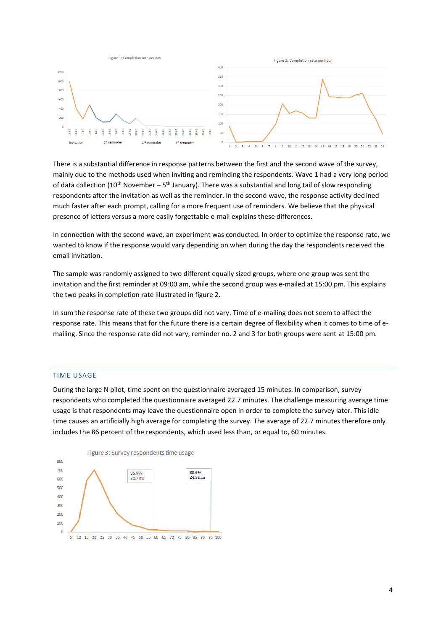

There is a substantial difference in response patterns between the first and the second wave of the survey, mainly due to the methods used when inviting and reminding the respondents. Wave 1 had a very long period of data collection (10<sup>th</sup> November – 5<sup>th</sup> January). There was a substantial and long tail of slow responding respondents after the invitation as well as the reminder. In the second wave, the response activity declined much faster after each prompt, calling for a more frequent use of reminders. We believe that the physical presence of letters versus a more easily forgettable e-mail explains these differences.

In connection with the second wave, an experiment was conducted. In order to optimize the response rate, we wanted to know if the response would vary depending on when during the day the respondents received the email invitation.

The sample was randomly assigned to two different equally sized groups, where one group was sent the invitation and the first reminder at 09:00 am, while the second group was e-mailed at 15:00 pm. This explains the two peaks in completion rate illustrated in figure 2.

In sum the response rate of these two groups did not vary. Time of e-mailing does not seem to affect the response rate. This means that for the future there is a certain degree of flexibility when it comes to time of emailing. Since the response rate did not vary, reminder no. 2 and 3 for both groups were sent at 15:00 pm.

#### TIME USAGE

During the large N pilot, time spent on the questionnaire averaged 15 minutes. In comparison, survey respondents who completed the questionnaire averaged 22.7 minutes. The challenge measuring average time usage is that respondents may leave the questionnaire open in order to complete the survey later. This idle time causes an artificially high average for completing the survey. The average of 22.7 minutes therefore only includes the 86 percent of the respondents, which used less than, or equal to, 60 minutes.

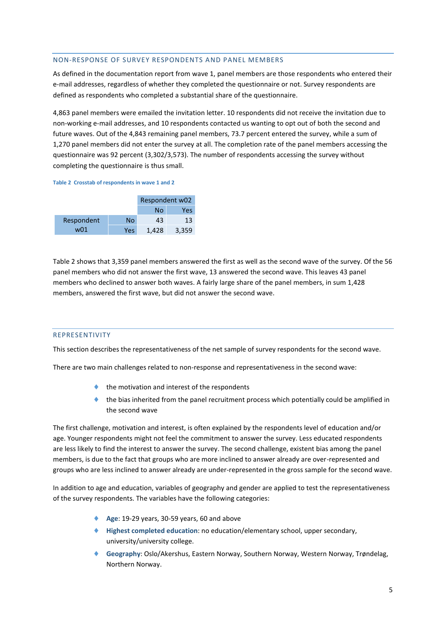## NON-RESPONSE OF SURVEY RESPONDENTS AND PANEL MEMBERS

As defined in the documentation report from wave 1, panel members are those respondents who entered their e-mail addresses, regardless of whether they completed the questionnaire or not. Survey respondents are defined as respondents who completed a substantial share of the questionnaire.

4,863 panel members were emailed the invitation letter. 10 respondents did not receive the invitation due to non-working e-mail addresses, and 10 respondents contacted us wanting to opt out of both the second and future waves. Out of the 4,843 remaining panel members, 73.7 percent entered the survey, while a sum of 1,270 panel members did not enter the survey at all. The completion rate of the panel members accessing the questionnaire was 92 percent (3,302/3,573). The number of respondents accessing the survey without completing the questionnaire is thus small.

#### **Table 2 Crosstab of respondents in wave 1 and 2**

|            | Respondent w02 |       |       |  |
|------------|----------------|-------|-------|--|
|            |                | No    | Yes   |  |
| Respondent | No             | 43    | 13    |  |
| w01        | Yes            | 1.428 | 3,359 |  |

Table 2 shows that 3,359 panel members answered the first as well as the second wave of the survey. Of the 56 panel members who did not answer the first wave, 13 answered the second wave. This leaves 43 panel members who declined to answer both waves. A fairly large share of the panel members, in sum 1,428 members, answered the first wave, but did not answer the second wave.

# REPRESENTIVITY

This section describes the representativeness of the net sample of survey respondents for the second wave.

There are two main challenges related to non-response and representativeness in the second wave:

- $\bullet$  the motivation and interest of the respondents
- $\bullet$  the bias inherited from the panel recruitment process which potentially could be amplified in the second wave

The first challenge, motivation and interest, is often explained by the respondents level of education and/or age. Younger respondents might not feel the commitment to answer the survey. Less educated respondents are less likely to find the interest to answer the survey. The second challenge, existent bias among the panel members, is due to the fact that groups who are more inclined to answer already are over-represented and groups who are less inclined to answer already are under-represented in the gross sample for the second wave.

In addition to age and education, variables of geography and gender are applied to test the representativeness of the survey respondents. The variables have the following categories:

- ◆ Age: 19-29 years, 30-59 years, 60 and above
- **Highest completed education**: no education/elementary school, upper secondary, university/university college.
- **Geography**: Oslo/Akershus, Eastern Norway, Southern Norway, Western Norway, Trøndelag, Northern Norway.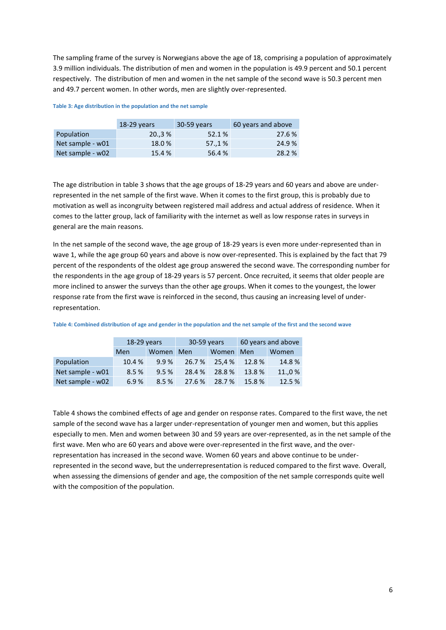The sampling frame of the survey is Norwegians above the age of 18, comprising a population of approximately 3.9 million individuals. The distribution of men and women in the population is 49.9 percent and 50.1 percent respectively. The distribution of men and women in the net sample of the second wave is 50.3 percent men and 49.7 percent women. In other words, men are slightly over-represented.

#### **Table 3: Age distribution in the population and the net sample**

|                  | 18-29 years | 30-59 years | 60 years and above |
|------------------|-------------|-------------|--------------------|
| Population       | 20.3%       | 52.1%       | 27.6 %             |
| Net sample - w01 | 18.0%       | 57.,1%      | 24.9%              |
| Net sample - w02 | 15.4 %      | 56.4 %      | 28.2 %             |

The age distribution in table 3 shows that the age groups of 18-29 years and 60 years and above are underrepresented in the net sample of the first wave. When it comes to the first group, this is probably due to motivation as well as incongruity between registered mail address and actual address of residence. When it comes to the latter group, lack of familiarity with the internet as well as low response rates in surveys in general are the main reasons.

In the net sample of the second wave, the age group of 18-29 years is even more under-represented than in wave 1, while the age group 60 years and above is now over-represented. This is explained by the fact that 79 percent of the respondents of the oldest age group answered the second wave. The corresponding number for the respondents in the age group of 18-29 years is 57 percent. Once recruited, it seems that older people are more inclined to answer the surveys than the other age groups. When it comes to the youngest, the lower response rate from the first wave is reinforced in the second, thus causing an increasing level of underrepresentation.

|                  | $18-29$ years |      | 30-59 years |        | 60 years and above |        |  |
|------------------|---------------|------|-------------|--------|--------------------|--------|--|
|                  | Women<br>Men  |      | Men         | Women  | Men                | Women  |  |
| Population       | 10.4 %        | 9.9% | 26.7%       | 25.4 % | 12.8 %             | 14.8%  |  |
| Net sample - w01 | 8.5%          | 9.5% | 28.4 %      | 28.8%  | 13.8%              | 11.,0% |  |
| Net sample - w02 | 6.9%          | 8.5% | 27.6 %      | 28.7%  | 15.8%              | 12.5 % |  |

**Table 4: Combined distribution of age and gender in the population and the net sample of the first and the second wave**

Table 4 shows the combined effects of age and gender on response rates. Compared to the first wave, the net sample of the second wave has a larger under-representation of younger men and women, but this applies especially to men. Men and women between 30 and 59 years are over-represented, as in the net sample of the first wave. Men who are 60 years and above were over-represented in the first wave, and the overrepresentation has increased in the second wave. Women 60 years and above continue to be underrepresented in the second wave, but the underrepresentation is reduced compared to the first wave. Overall, when assessing the dimensions of gender and age, the composition of the net sample corresponds quite well with the composition of the population.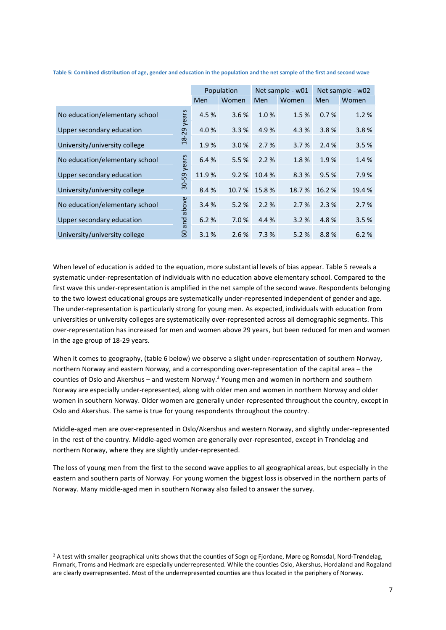|                                |                | Population |        | Net sample - w01 |       | Net sample - w02 |        |
|--------------------------------|----------------|------------|--------|------------------|-------|------------------|--------|
|                                |                | Men        | Women  | Men              | Women | Men              | Women  |
| No education/elementary school | years          | 4.5 %      | 3.6%   | 1.0%             | 1.5%  | 0.7%             | 1.2%   |
| Upper secondary education      | 29             | 4.0%       | 3.3%   | 4.9%             | 4.3 % | 3.8%             | 3.8%   |
| University/university college  | $\frac{8}{18}$ | 1.9%       | 3.0%   | 2.7%             | 3.7%  | 2.4%             | 3.5%   |
| No education/elementary school | years          | 6.4 %      | 5.5%   | 2.2%             | 1.8%  | 1.9%             | 1.4%   |
| Upper secondary education      |                | 11.9%      | 9.2%   | 10.4 %           | 8.3%  | 9.5%             | 7.9%   |
| University/university college  | $30 - 59$      | 8.4 %      | 10.7 % | 15.8%            | 18.7% | 16.2%            | 19.4 % |
| No education/elementary school | above          | 3.4%       | 5.2%   | 2.2%             | 2.7%  | 2.3%             | 2.7%   |
| Upper secondary education      | and            | 6.2%       | 7.0%   | 4.4 %            | 3.2%  | 4.8%             | 3.5%   |
| University/university college  | 8              | 3.1%       | 2.6%   | 7.3%             | 5.2%  | 8.8%             | 6.2%   |

**Table 5: Combined distribution of age, gender and education in the population and the net sample of the first and second wave**

When level of education is added to the equation, more substantial levels of bias appear. Table 5 reveals a systematic under-representation of individuals with no education above elementary school. Compared to the first wave this under-representation is amplified in the net sample of the second wave. Respondents belonging to the two lowest educational groups are systematically under-represented independent of gender and age. The under-representation is particularly strong for young men. As expected, individuals with education from universities or university colleges are systematically over-represented across all demographic segments. This over-representation has increased for men and women above 29 years, but been reduced for men and women in the age group of 18-29 years.

When it comes to geography, (table 6 below) we observe a slight under-representation of southern Norway, northern Norway and eastern Norway, and a corresponding over-representation of the capital area – the counties of Oslo and Akershus – and western Norway.<sup>2</sup> Young men and women in northern and southern Norway are especially under-represented, along with older men and women in northern Norway and older women in southern Norway. Older women are generally under-represented throughout the country, except in Oslo and Akershus. The same is true for young respondents throughout the country.

Middle-aged men are over-represented in Oslo/Akershus and western Norway, and slightly under-represented in the rest of the country. Middle-aged women are generally over-represented, except in Trøndelag and northern Norway, where they are slightly under-represented.

The loss of young men from the first to the second wave applies to all geographical areas, but especially in the eastern and southern parts of Norway. For young women the biggest loss is observed in the northern parts of Norway. Many middle-aged men in southern Norway also failed to answer the survey.

**.** 

<sup>&</sup>lt;sup>2</sup> A test with smaller geographical units shows that the counties of Sogn og Fjordane, Møre og Romsdal, Nord-Trøndelag, Finmark, Troms and Hedmark are especially underrepresented. While the counties Oslo, Akershus, Hordaland and Rogaland are clearly overrepresented. Most of the underrepresented counties are thus located in the periphery of Norway.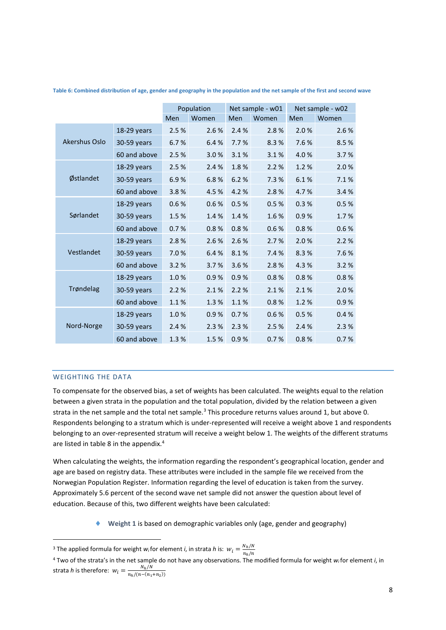|               |              |      | Population |      | Net sample - w01 | Net sample - w02 |       |  |
|---------------|--------------|------|------------|------|------------------|------------------|-------|--|
|               |              | Men  | Women      | Men  | Women            | Men              | Women |  |
|               | 18-29 years  | 2.5% | 2.6%       | 2.4% | 2.8%             | 2.0%             | 2.6%  |  |
| Akershus Oslo | 30-59 years  | 6.7% | 6.4%       | 7.7% | 8.3%             | 7.6%             | 8.5%  |  |
|               | 60 and above | 2.5% | 3.0%       | 3.1% | 3.1%             | 4.0%             | 3.7%  |  |
|               | 18-29 years  | 2.5% | 2.4 %      | 1.8% | 2.2%             | 1.2%             | 2.0%  |  |
| Østlandet     | 30-59 years  | 6.9% | 6.8%       | 6.2% | 7.3 %            | 6.1%             | 7.1%  |  |
|               | 60 and above | 3.8% | 4.5 %      | 4.2% | 2.8%             | 4.7%             | 3.4%  |  |
|               | 18-29 years  | 0.6% | 0.6%       | 0.5% | 0.5%             | 0.3%             | 0.5%  |  |
| Sørlandet     | 30-59 years  | 1.5% | 1.4%       | 1.4% | 1.6%             | 0.9%             | 1.7%  |  |
|               | 60 and above | 0.7% | 0.8%       | 0.8% | 0.6%             | 0.8%             | 0.6%  |  |
|               | 18-29 years  | 2.8% | 2.6 %      | 2.6% | 2.7%             | 2.0%             | 2.2%  |  |
| Vestlandet    | 30-59 years  | 7.0% | 6.4%       | 8.1% | 7.4%             | 8.3%             | 7.6%  |  |
|               | 60 and above | 3.2% | 3.7%       | 3.6% | 2.8%             | 4.3%             | 3.2%  |  |
|               | 18-29 years  | 1.0% | 0.9%       | 0.9% | 0.8%             | 0.8%             | 0.8%  |  |
| Trøndelag     | 30-59 years  | 2.2% | 2.1%       | 2.2% | 2.1%             | 2.1%             | 2.0%  |  |
|               | 60 and above | 1.1% | 1.3%       | 1.1% | 0.8%             | 1.2%             | 0.9%  |  |
|               | 18-29 years  | 1.0% | 0.9%       | 0.7% | 0.6%             | 0.5%             | 0.4%  |  |
| Nord-Norge    | 30-59 years  | 2.4% | 2.3%       | 2.3% | 2.5%             | 2.4%             | 2.3%  |  |
|               | 60 and above | 1.3% | 1.5%       | 0.9% | 0.7%             | 0.8%             | 0.7%  |  |

**Table 6: Combined distribution of age, gender and geography in the population and the net sample of the first and second wave**

# WEIGHTING THE DATA

**.** 

To compensate for the observed bias, a set of weights has been calculated. The weights equal to the relation between a given strata in the population and the total population, divided by the relation between a given strata in the net sample and the total net sample.<sup>3</sup> This procedure returns values around 1, but above 0. Respondents belonging to a stratum which is under-represented will receive a weight above 1 and respondents belonging to an over-represented stratum will receive a weight below 1. The weights of the different stratums are listed in table 8 in the appendix.<sup>4</sup>

When calculating the weights, the information regarding the respondent's geographical location, gender and age are based on registry data. These attributes were included in the sample file we received from the Norwegian Population Register. Information regarding the level of education is taken from the survey. Approximately 5.6 percent of the second wave net sample did not answer the question about level of education. Because of this, two different weights have been calculated:

**Weight 1** is based on demographic variables only (age, gender and geography)

<sup>&</sup>lt;sup>3</sup> The applied formula for weight *w<sub>i</sub>* for element *i*, in strata *h* is:  $w_i = \frac{N_h}{n_e/m}$  $n_h/n$ 

<sup>4</sup> Two of the strata's in the net sample do not have any observations. The modified formula for weight *wi*for element *i*, in strata *h* is therefore:  $w_i = \frac{N_h/N}{n \cdot (n-h)}$  $n_h/(n-(n_1+n_2))$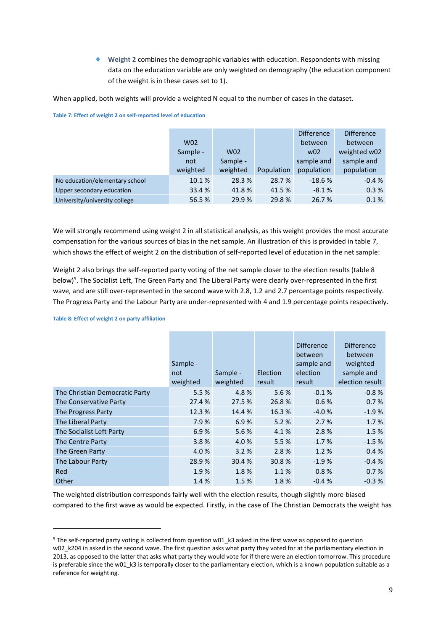**Weight 2** combines the demographic variables with education. Respondents with missing data on the education variable are only weighted on demography (the education component of the weight is in these cases set to 1).

When applied, both weights will provide a weighted N equal to the number of cases in the dataset.

|                                |                 |          |            | <b>Difference</b> | <b>Difference</b> |
|--------------------------------|-----------------|----------|------------|-------------------|-------------------|
|                                | W <sub>02</sub> |          |            | between           | between           |
|                                | Sample -        | W02      |            | W <sub>02</sub>   | weighted w02      |
|                                | not             | Sample - |            | sample and        | sample and        |
|                                | weighted        | weighted | Population | population        | population        |
| No education/elementary school | 10.1%           | 28.3%    | 28.7 %     | $-18.6%$          | $-0.4%$           |
| Upper secondary education      | 33.4 %          | 41.8%    | 41.5 %     | $-8.1%$           | 0.3%              |
| University/university college  | 56.5 %          | 29.9%    | 29.8%      | 26.7%             | 0.1%              |

**Table 7: Effect of weight 2 on self-reported level of education**

We will strongly recommend using weight 2 in all statistical analysis, as this weight provides the most accurate compensation for the various sources of bias in the net sample. An illustration of this is provided in table 7, which shows the effect of weight 2 on the distribution of self-reported level of education in the net sample:

Weight 2 also brings the self-reported party voting of the net sample closer to the election results (table 8 below)<sup>5</sup>. The Socialist Left, The Green Party and The Liberal Party were clearly over-represented in the first wave, and are still over-represented in the second wave with 2.8, 1.2 and 2.7 percentage points respectively. The Progress Party and the Labour Party are under-represented with 4 and 1.9 percentage points respectively.

|                                | Sample -<br>not<br>weighted | Sample -<br>weighted | Election<br>result | <b>Difference</b><br>between<br>sample and<br>election<br>result | <b>Difference</b><br>between<br>weighted<br>sample and<br>election result |
|--------------------------------|-----------------------------|----------------------|--------------------|------------------------------------------------------------------|---------------------------------------------------------------------------|
| The Christian Democratic Party | 5.5%                        | 4.8%                 | 5.6%               | $-0.1%$                                                          | $-0.8%$                                                                   |
| The Conservative Party         | 27.4 %                      | 27.5 %               | 26.8%              | 0.6%                                                             | 0.7%                                                                      |
| The Progress Party             | 12.3 %                      | 14.4%                | 16.3%              | $-4.0%$                                                          | $-1.9%$                                                                   |
| The Liberal Party              | 7.9%                        | 6.9%                 | 5.2%               | 2.7%                                                             | 1.7%                                                                      |
| The Socialist Left Party       | 6.9%                        | 5.6%                 | 4.1%               | 2.8%                                                             | 1.5%                                                                      |
| The Centre Party               | 3.8%                        | 4.0%                 | 5.5%               | $-1.7%$                                                          | $-1.5%$                                                                   |
| The Green Party                | 4.0%                        | 3.2%                 | 2.8%               | 1.2%                                                             | 0.4%                                                                      |
| The Labour Party               | 28.9%                       | 30.4 %               | 30.8 %             | $-1.9%$                                                          | $-0.4%$                                                                   |
| Red                            | 1.9%                        | 1.8%                 | 1.1%               | 0.8%                                                             | 0.7%                                                                      |
| Other                          | 1.4%                        | 1.5%                 | 1.8%               | $-0.4%$                                                          | $-0.3%$                                                                   |

**Table 8: Effect of weight 2 on party affiliation**

1

The weighted distribution corresponds fairly well with the election results, though slightly more biased compared to the first wave as would be expected. Firstly, in the case of The Christian Democrats the weight has

<sup>&</sup>lt;sup>5</sup> The self-reported party voting is collected from question w01 k3 asked in the first wave as opposed to question w02 k204 in asked in the second wave. The first question asks what party they voted for at the parliamentary election in 2013, as opposed to the latter that asks what party they would vote for if there were an election tomorrow. This procedure is preferable since the w01 k3 is temporally closer to the parliamentary election, which is a known population suitable as a reference for weighting.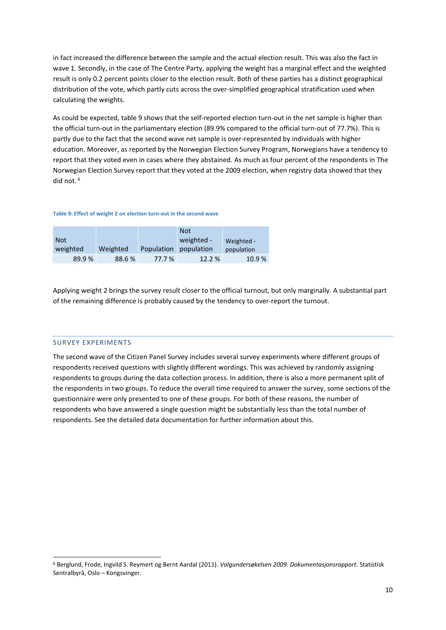in fact increased the difference between the sample and the actual election result. This was also the fact in wave 1. Secondly, in the case of The Centre Party, applying the weight has a marginal effect and the weighted result is only 0.2 percent points closer to the election result. Both of these parties has a distinct geographical distribution of the vote, which partly cuts across the over-simplified geographical stratification used when calculating the weights.

As could be expected, table 9 shows that the self-reported election turn-out in the net sample is higher than the official turn-out in the parliamentary election (89.9% compared to the official turn-out of 77.7%). This is partly due to the fact that the second wave net sample is over-represented by individuals with higher education. Moreover, as reported by the Norwegian Election Survey Program, Norwegians have a tendency to report that they voted even in cases where they abstained. As much as four percent of the respondents in The Norwegian Election Survey report that they voted at the 2009 election, when registry data showed that they did not. <sup>6</sup>

#### **Table 9: Effect of weight 2 on election turn-out in the second wave**

|            |          |            | <b>Not</b> |            |
|------------|----------|------------|------------|------------|
| <b>Not</b> |          |            | weighted - | Weighted - |
| weighted   | Weighted | Population | population | population |
| 89.9%      | 88.6%    | 77.7 %     | 12.2 %     | 10.9%      |

Applying weight 2 brings the survey result closer to the official turnout, but only marginally. A substantial part of the remaining difference is probably caused by the tendency to over-report the turnout.

#### SURVEY EXPERIMENTS

**.** 

The second wave of the Citizen Panel Survey includes several survey experiments where different groups of respondents received questions with slightly different wordings. This was achieved by randomly assigning respondents to groups during the data collection process. In addition, there is also a more permanent split of the respondents in two groups. To reduce the overall time required to answer the survey, some sections of the questionnaire were only presented to one of these groups. For both of these reasons, the number of respondents who have answered a single question might be substantially less than the total number of respondents. See the detailed data documentation for further information about this.

<sup>6</sup> Berglund, Frode, Ingvild S. Reymert og Bernt Aardal (2011). *Valgundersøkelsen 2009. Dokumentasjonsrapport.* Statistisk Sentralbyrå, Oslo – Kongsvinger.